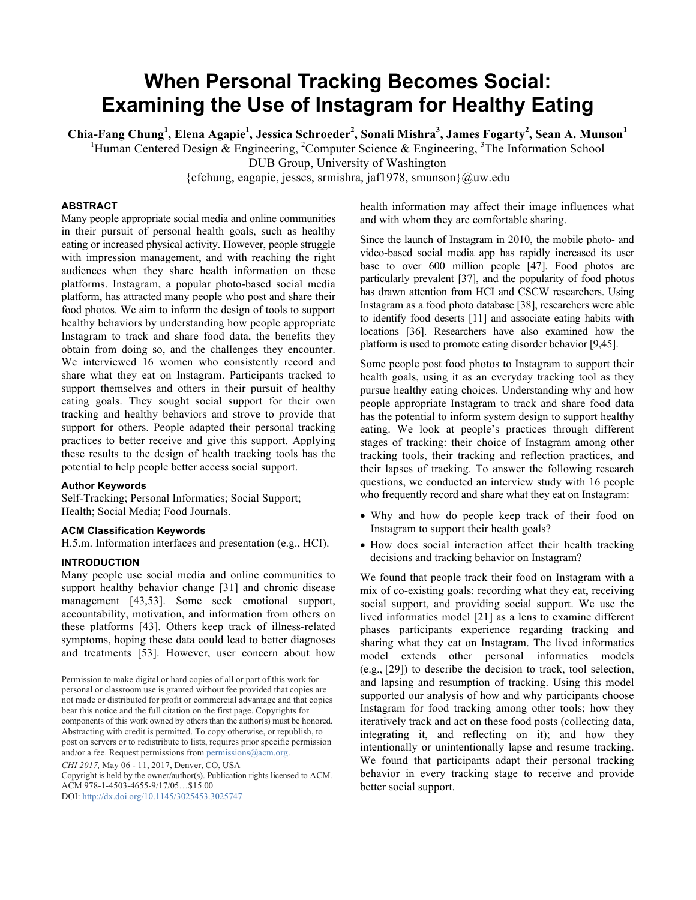# **When Personal Tracking Becomes Social: Examining the Use of Instagram for Healthy Eating**

**Chia-Fang Chung<sup>1</sup> , Elena Agapie<sup>1</sup> , Jessica Schroeder<sup>2</sup> , Sonali Mishra<sup>3</sup> , James Fogarty<sup>2</sup> , Sean A. Munson<sup>1</sup>**

<sup>1</sup>Human Centered Design & Engineering, <sup>2</sup>Computer Science & Engineering, <sup>3</sup>The Information School

DUB Group, University of Washington

 ${cftchung, eagapie, jesses, srmishra, jaf1978, smunson}$ @uw.edu

# **ABSTRACT**

Many people appropriate social media and online communities in their pursuit of personal health goals, such as healthy eating or increased physical activity. However, people struggle with impression management, and with reaching the right audiences when they share health information on these platforms. Instagram, a popular photo-based social media platform, has attracted many people who post and share their food photos. We aim to inform the design of tools to support healthy behaviors by understanding how people appropriate Instagram to track and share food data, the benefits they obtain from doing so, and the challenges they encounter. We interviewed 16 women who consistently record and share what they eat on Instagram. Participants tracked to support themselves and others in their pursuit of healthy eating goals. They sought social support for their own tracking and healthy behaviors and strove to provide that support for others. People adapted their personal tracking practices to better receive and give this support. Applying these results to the design of health tracking tools has the potential to help people better access social support.

## **Author Keywords**

Self-Tracking; Personal Informatics; Social Support; Health; Social Media; Food Journals.

## **ACM Classification Keywords**

H.5.m. Information interfaces and presentation (e.g., HCI).

# **INTRODUCTION**

Many people use social media and online communities to support healthy behavior change [31] and chronic disease management [43,53]. Some seek emotional support, accountability, motivation, and information from others on these platforms [43]. Others keep track of illness-related symptoms, hoping these data could lead to better diagnoses and treatments [53]. However, user concern about how

Copyright is held by the owner/author(s). Publication rights licensed to ACM. ACM 978-1-4503-4655-9/17/05…\$15.00

DOI: http://dx.doi.org/10.1145/3025453.3025747

health information may affect their image influences what and with whom they are comfortable sharing.

Since the launch of Instagram in 2010, the mobile photo- and video-based social media app has rapidly increased its user base to over 600 million people [47]. Food photos are particularly prevalent [37], and the popularity of food photos has drawn attention from HCI and CSCW researchers. Using Instagram as a food photo database [38], researchers were able to identify food deserts [11] and associate eating habits with locations [36]. Researchers have also examined how the platform is used to promote eating disorder behavior [9,45].

Some people post food photos to Instagram to support their health goals, using it as an everyday tracking tool as they pursue healthy eating choices. Understanding why and how people appropriate Instagram to track and share food data has the potential to inform system design to support healthy eating. We look at people's practices through different stages of tracking: their choice of Instagram among other tracking tools, their tracking and reflection practices, and their lapses of tracking. To answer the following research questions, we conducted an interview study with 16 people who frequently record and share what they eat on Instagram:

- Why and how do people keep track of their food on Instagram to support their health goals?
- How does social interaction affect their health tracking decisions and tracking behavior on Instagram?

We found that people track their food on Instagram with a mix of co-existing goals: recording what they eat, receiving social support, and providing social support. We use the lived informatics model [21] as a lens to examine different phases participants experience regarding tracking and sharing what they eat on Instagram. The lived informatics model extends other personal informatics models (e.g., [29]) to describe the decision to track, tool selection, and lapsing and resumption of tracking. Using this model supported our analysis of how and why participants choose Instagram for food tracking among other tools; how they iteratively track and act on these food posts (collecting data, integrating it, and reflecting on it); and how they intentionally or unintentionally lapse and resume tracking. We found that participants adapt their personal tracking behavior in every tracking stage to receive and provide better social support.

Permission to make digital or hard copies of all or part of this work for personal or classroom use is granted without fee provided that copies are not made or distributed for profit or commercial advantage and that copies bear this notice and the full citation on the first page. Copyrights for components of this work owned by others than the author(s) must be honored. Abstracting with credit is permitted. To copy otherwise, or republish, to post on servers or to redistribute to lists, requires prior specific permission and/or a fee. Request permissions from permissions@acm.org.

*CHI 2017,* May 06 - 11, 2017, Denver, CO, USA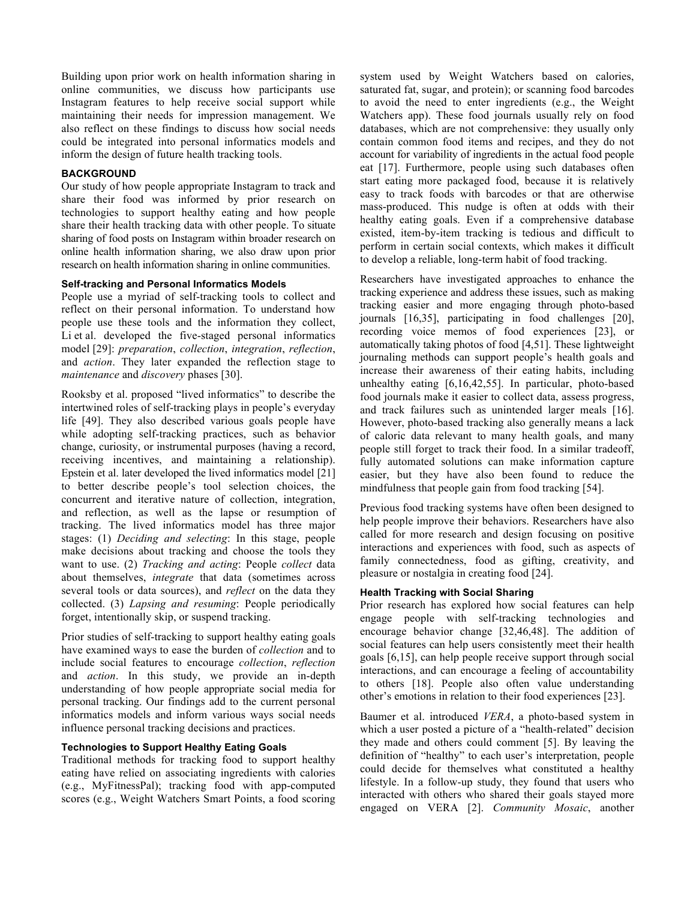Building upon prior work on health information sharing in online communities, we discuss how participants use Instagram features to help receive social support while maintaining their needs for impression management. We also reflect on these findings to discuss how social needs could be integrated into personal informatics models and inform the design of future health tracking tools.

## **BACKGROUND**

Our study of how people appropriate Instagram to track and share their food was informed by prior research on technologies to support healthy eating and how people share their health tracking data with other people. To situate sharing of food posts on Instagram within broader research on online health information sharing, we also draw upon prior research on health information sharing in online communities.

### **Self-tracking and Personal Informatics Models**

People use a myriad of self-tracking tools to collect and reflect on their personal information. To understand how people use these tools and the information they collect, Li et al. developed the five-staged personal informatics model [29]: *preparation*, *collection*, *integration*, *reflection*, and *action*. They later expanded the reflection stage to *maintenance* and *discovery* phases [30].

Rooksby et al. proposed "lived informatics" to describe the intertwined roles of self-tracking plays in people's everyday life [49]. They also described various goals people have while adopting self-tracking practices, such as behavior change, curiosity, or instrumental purposes (having a record, receiving incentives, and maintaining a relationship). Epstein et al. later developed the lived informatics model [21] to better describe people's tool selection choices, the concurrent and iterative nature of collection, integration, and reflection, as well as the lapse or resumption of tracking. The lived informatics model has three major stages: (1) *Deciding and selecting*: In this stage, people make decisions about tracking and choose the tools they want to use. (2) *Tracking and acting*: People *collect* data about themselves, *integrate* that data (sometimes across several tools or data sources), and *reflect* on the data they collected. (3) *Lapsing and resuming*: People periodically forget, intentionally skip, or suspend tracking.

Prior studies of self-tracking to support healthy eating goals have examined ways to ease the burden of *collection* and to include social features to encourage *collection*, *reflection* and *action*. In this study, we provide an in-depth understanding of how people appropriate social media for personal tracking. Our findings add to the current personal informatics models and inform various ways social needs influence personal tracking decisions and practices.

#### **Technologies to Support Healthy Eating Goals**

Traditional methods for tracking food to support healthy eating have relied on associating ingredients with calories (e.g., MyFitnessPal); tracking food with app-computed scores (e.g., Weight Watchers Smart Points, a food scoring

system used by Weight Watchers based on calories, saturated fat, sugar, and protein); or scanning food barcodes to avoid the need to enter ingredients (e.g., the Weight Watchers app). These food journals usually rely on food databases, which are not comprehensive: they usually only contain common food items and recipes, and they do not account for variability of ingredients in the actual food people eat [17]. Furthermore, people using such databases often start eating more packaged food, because it is relatively easy to track foods with barcodes or that are otherwise mass-produced. This nudge is often at odds with their healthy eating goals. Even if a comprehensive database existed, item-by-item tracking is tedious and difficult to perform in certain social contexts, which makes it difficult to develop a reliable, long-term habit of food tracking.

Researchers have investigated approaches to enhance the tracking experience and address these issues, such as making tracking easier and more engaging through photo-based journals [16,35], participating in food challenges [20], recording voice memos of food experiences [23], or automatically taking photos of food [4,51]. These lightweight journaling methods can support people's health goals and increase their awareness of their eating habits, including unhealthy eating [6,16,42,55]. In particular, photo-based food journals make it easier to collect data, assess progress, and track failures such as unintended larger meals [16]. However, photo-based tracking also generally means a lack of caloric data relevant to many health goals, and many people still forget to track their food. In a similar tradeoff, fully automated solutions can make information capture easier, but they have also been found to reduce the mindfulness that people gain from food tracking [54].

Previous food tracking systems have often been designed to help people improve their behaviors. Researchers have also called for more research and design focusing on positive interactions and experiences with food, such as aspects of family connectedness, food as gifting, creativity, and pleasure or nostalgia in creating food [24].

## **Health Tracking with Social Sharing**

Prior research has explored how social features can help engage people with self-tracking technologies and encourage behavior change [32,46,48]. The addition of social features can help users consistently meet their health goals [6,15], can help people receive support through social interactions, and can encourage a feeling of accountability to others [18]. People also often value understanding other's emotions in relation to their food experiences [23].

Baumer et al. introduced *VERA*, a photo-based system in which a user posted a picture of a "health-related" decision they made and others could comment [5]. By leaving the definition of "healthy" to each user's interpretation, people could decide for themselves what constituted a healthy lifestyle. In a follow-up study, they found that users who interacted with others who shared their goals stayed more engaged on VERA [2]. *Community Mosaic*, another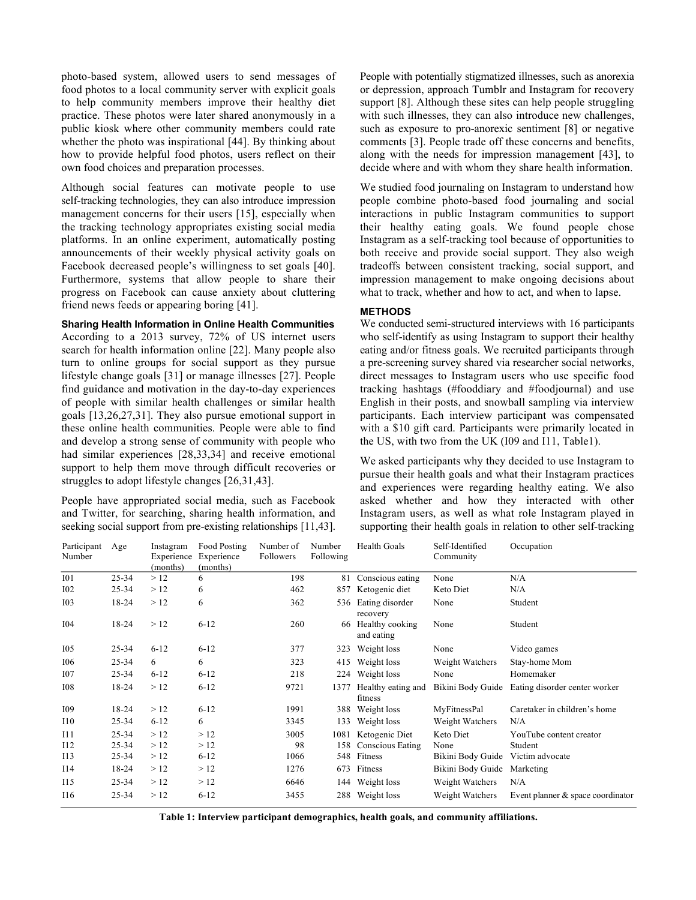photo-based system, allowed users to send messages of food photos to a local community server with explicit goals to help community members improve their healthy diet practice. These photos were later shared anonymously in a public kiosk where other community members could rate whether the photo was inspirational [44]. By thinking about how to provide helpful food photos, users reflect on their own food choices and preparation processes.

Although social features can motivate people to use self-tracking technologies, they can also introduce impression management concerns for their users [15], especially when the tracking technology appropriates existing social media platforms. In an online experiment, automatically posting announcements of their weekly physical activity goals on Facebook decreased people's willingness to set goals [40]. Furthermore, systems that allow people to share their progress on Facebook can cause anxiety about cluttering friend news feeds or appearing boring [41].

**Sharing Health Information in Online Health Communities** According to a 2013 survey, 72% of US internet users search for health information online [22]. Many people also turn to online groups for social support as they pursue lifestyle change goals [31] or manage illnesses [27]. People find guidance and motivation in the day-to-day experiences of people with similar health challenges or similar health goals [13,26,27,31]. They also pursue emotional support in these online health communities. People were able to find and develop a strong sense of community with people who had similar experiences [28,33,34] and receive emotional support to help them move through difficult recoveries or struggles to adopt lifestyle changes [26,31,43].

People have appropriated social media, such as Facebook and Twitter, for searching, sharing health information, and seeking social support from pre-existing relationships [11,43]. People with potentially stigmatized illnesses, such as anorexia or depression, approach Tumblr and Instagram for recovery support [8]. Although these sites can help people struggling with such illnesses, they can also introduce new challenges, such as exposure to pro-anorexic sentiment [8] or negative comments [3]. People trade off these concerns and benefits, along with the needs for impression management [43], to decide where and with whom they share health information.

We studied food journaling on Instagram to understand how people combine photo-based food journaling and social interactions in public Instagram communities to support their healthy eating goals. We found people chose Instagram as a self-tracking tool because of opportunities to both receive and provide social support. They also weigh tradeoffs between consistent tracking, social support, and impression management to make ongoing decisions about what to track, whether and how to act, and when to lapse.

### **METHODS**

We conducted semi-structured interviews with 16 participants who self-identify as using Instagram to support their healthy eating and/or fitness goals. We recruited participants through a pre-screening survey shared via researcher social networks, direct messages to Instagram users who use specific food tracking hashtags (#fooddiary and #foodjournal) and use English in their posts, and snowball sampling via interview participants. Each interview participant was compensated with a \$10 gift card. Participants were primarily located in the US, with two from the UK (I09 and I11, Table1).

We asked participants why they decided to use Instagram to pursue their health goals and what their Instagram practices and experiences were regarding healthy eating. We also asked whether and how they interacted with other Instagram users, as well as what role Instagram played in supporting their health goals in relation to other self-tracking

| Participant<br>Number | Age       | Instagram<br>Experience<br>(months) | Food Posting<br>Experience<br>(months) | Number of<br>Followers | Number<br>Following | <b>Health Goals</b>           | Self-Identified<br>Community | Occupation                        |
|-----------------------|-----------|-------------------------------------|----------------------------------------|------------------------|---------------------|-------------------------------|------------------------------|-----------------------------------|
| I01                   | $25 - 34$ | >12                                 | 6                                      | 198                    | 81                  | Conscious eating              | None                         | N/A                               |
| I02                   | $25 - 34$ | >12                                 | 6                                      | 462                    | 857                 | Ketogenic diet                | Keto Diet                    | N/A                               |
| I <sub>03</sub>       | 18-24     | >12                                 | 6                                      | 362                    | 536                 | Eating disorder<br>recovery   | None                         | Student                           |
| <b>I04</b>            | 18-24     | >12                                 | $6 - 12$                               | 260                    | 66.                 | Healthy cooking<br>and eating | None                         | Student                           |
| I05                   | $25 - 34$ | $6 - 12$                            | $6 - 12$                               | 377                    | 323                 | Weight loss                   | None                         | Video games                       |
| <b>I06</b>            | $25 - 34$ | 6                                   | 6                                      | 323                    | 415                 | Weight loss                   | Weight Watchers              | Stay-home Mom                     |
| <b>I07</b>            | $25 - 34$ | $6 - 12$                            | $6 - 12$                               | 218                    | 224                 | Weight loss                   | None                         | Homemaker                         |
| <b>I08</b>            | 18-24     | >12                                 | $6 - 12$                               | 9721                   | 1377                | Healthy eating and<br>fitness | Bikini Body Guide            | Eating disorder center worker     |
| I09                   | 18-24     | >12                                 | $6 - 12$                               | 1991                   | 388                 | Weight loss                   | MyFitnessPal                 | Caretaker in children's home      |
| I10                   | $25 - 34$ | $6 - 12$                            | 6                                      | 3345                   | 133                 | Weight loss                   | Weight Watchers              | N/A                               |
| I11                   | $25 - 34$ | >12                                 | >12                                    | 3005                   | 1081                | Ketogenic Diet                | Keto Diet                    | YouTube content creator           |
| 112                   | $25 - 34$ | >12                                 | >12                                    | 98                     | 158                 | Conscious Eating              | None                         | Student                           |
| I13                   | 25-34     | >12                                 | $6 - 12$                               | 1066                   | 548                 | Fitness                       | Bikini Body Guide            | Victim advocate                   |
| I14                   | 18-24     | >12                                 | >12                                    | 1276                   | 673                 | Fitness                       | Bikini Body Guide            | Marketing                         |
| I15                   | $25 - 34$ | >12                                 | >12                                    | 6646                   |                     | 144 Weight loss               | Weight Watchers              | N/A                               |
| I16                   | 25-34     | >12                                 | $6 - 12$                               | 3455                   |                     | 288 Weight loss               | Weight Watchers              | Event planner & space coordinator |

**Table 1: Interview participant demographics, health goals, and community affiliations.**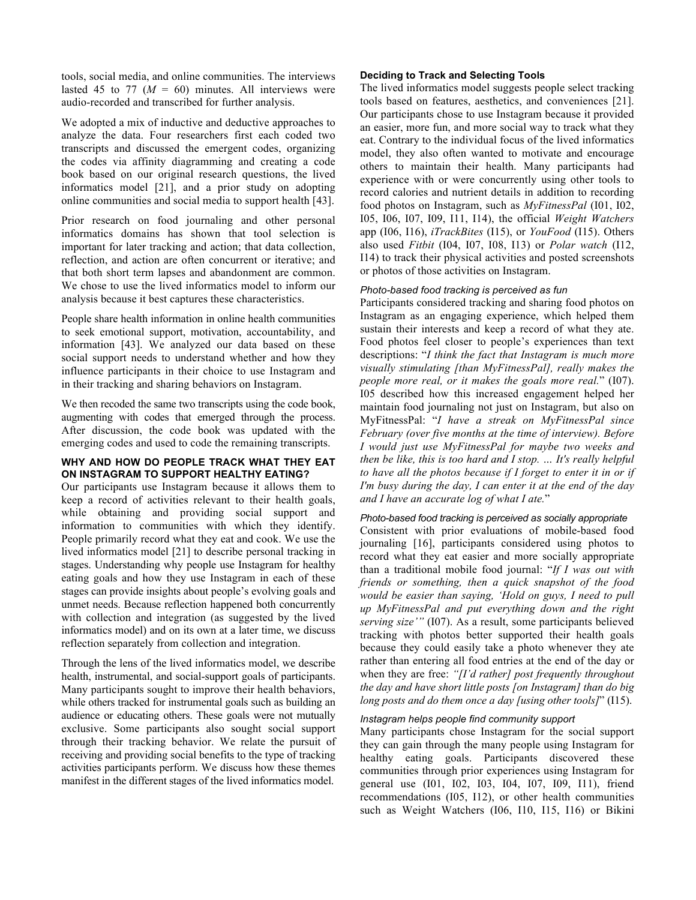tools, social media, and online communities. The interviews lasted 45 to 77 ( $M = 60$ ) minutes. All interviews were audio-recorded and transcribed for further analysis.

We adopted a mix of inductive and deductive approaches to analyze the data. Four researchers first each coded two transcripts and discussed the emergent codes, organizing the codes via affinity diagramming and creating a code book based on our original research questions, the lived informatics model [21], and a prior study on adopting online communities and social media to support health [43].

Prior research on food journaling and other personal informatics domains has shown that tool selection is important for later tracking and action; that data collection, reflection, and action are often concurrent or iterative; and that both short term lapses and abandonment are common. We chose to use the lived informatics model to inform our analysis because it best captures these characteristics.

People share health information in online health communities to seek emotional support, motivation, accountability, and information [43]. We analyzed our data based on these social support needs to understand whether and how they influence participants in their choice to use Instagram and in their tracking and sharing behaviors on Instagram.

We then recoded the same two transcripts using the code book, augmenting with codes that emerged through the process. After discussion, the code book was updated with the emerging codes and used to code the remaining transcripts.

## **WHY AND HOW DO PEOPLE TRACK WHAT THEY EAT ON INSTAGRAM TO SUPPORT HEALTHY EATING?**

Our participants use Instagram because it allows them to keep a record of activities relevant to their health goals, while obtaining and providing social support and information to communities with which they identify. People primarily record what they eat and cook. We use the lived informatics model [21] to describe personal tracking in stages. Understanding why people use Instagram for healthy eating goals and how they use Instagram in each of these stages can provide insights about people's evolving goals and unmet needs. Because reflection happened both concurrently with collection and integration (as suggested by the lived informatics model) and on its own at a later time, we discuss reflection separately from collection and integration.

Through the lens of the lived informatics model, we describe health, instrumental, and social-support goals of participants. Many participants sought to improve their health behaviors, while others tracked for instrumental goals such as building an audience or educating others. These goals were not mutually exclusive. Some participants also sought social support through their tracking behavior. We relate the pursuit of receiving and providing social benefits to the type of tracking activities participants perform. We discuss how these themes manifest in the different stages of the lived informatics model.

## **Deciding to Track and Selecting Tools**

The lived informatics model suggests people select tracking tools based on features, aesthetics, and conveniences [21]. Our participants chose to use Instagram because it provided an easier, more fun, and more social way to track what they eat. Contrary to the individual focus of the lived informatics model, they also often wanted to motivate and encourage others to maintain their health. Many participants had experience with or were concurrently using other tools to record calories and nutrient details in addition to recording food photos on Instagram, such as *MyFitnessPal* (I01, I02, I05, I06, I07, I09, I11, I14), the official *Weight Watchers* app (I06, I16), *iTrackBites* (I15), or *YouFood* (I15). Others also used *Fitbit* (I04, I07, I08, I13) or *Polar watch* (I12, I14) to track their physical activities and posted screenshots or photos of those activities on Instagram.

## *Photo-based food tracking is perceived as fun*

Participants considered tracking and sharing food photos on Instagram as an engaging experience, which helped them sustain their interests and keep a record of what they ate. Food photos feel closer to people's experiences than text descriptions: "*I think the fact that Instagram is much more visually stimulating [than MyFitnessPal], really makes the people more real, or it makes the goals more real.*" (I07). I05 described how this increased engagement helped her maintain food journaling not just on Instagram, but also on MyFitnessPal: "*I have a streak on MyFitnessPal since February (over five months at the time of interview). Before I would just use MyFitnessPal for maybe two weeks and then be like, this is too hard and I stop. … It's really helpful to have all the photos because if I forget to enter it in or if I'm busy during the day, I can enter it at the end of the day and I have an accurate log of what I ate.*"

#### *Photo-based food tracking is perceived as socially appropriate*

Consistent with prior evaluations of mobile-based food journaling [16], participants considered using photos to record what they eat easier and more socially appropriate than a traditional mobile food journal: "*If I was out with friends or something, then a quick snapshot of the food would be easier than saying, 'Hold on guys, I need to pull up MyFitnessPal and put everything down and the right serving size'"* (I07). As a result, some participants believed tracking with photos better supported their health goals because they could easily take a photo whenever they ate rather than entering all food entries at the end of the day or when they are free: *"[I'd rather] post frequently throughout the day and have short little posts [on Instagram] than do big long posts and do them once a day [using other tools]*" (I15).

# *Instagram helps people find community support*

Many participants chose Instagram for the social support they can gain through the many people using Instagram for healthy eating goals. Participants discovered these communities through prior experiences using Instagram for general use (I01, I02, I03, I04, I07, I09, I11), friend recommendations (I05, I12), or other health communities such as Weight Watchers (I06, I10, I15, I16) or Bikini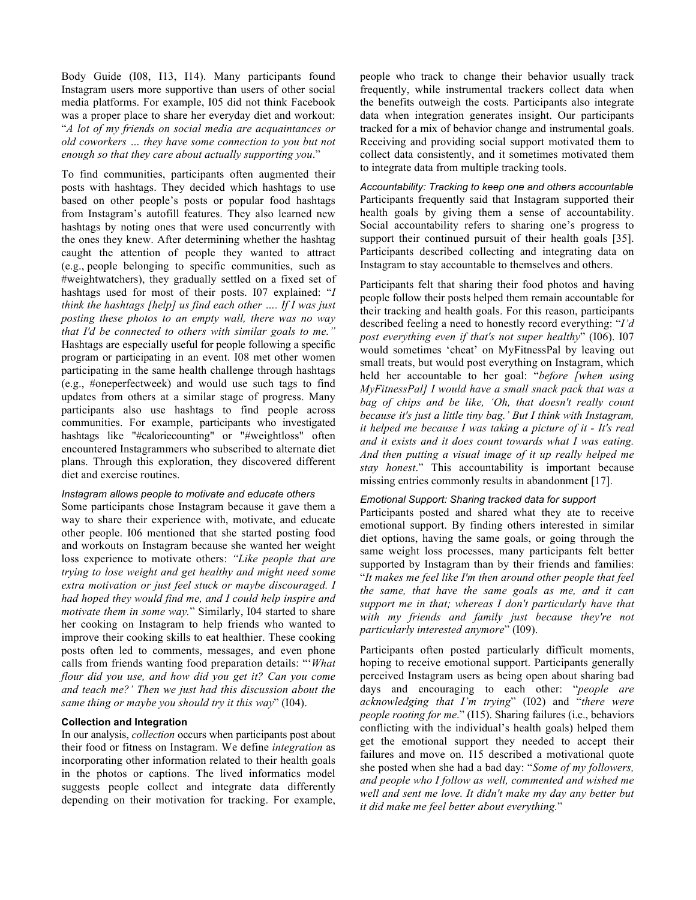Body Guide (I08, I13, I14). Many participants found Instagram users more supportive than users of other social media platforms. For example, I05 did not think Facebook was a proper place to share her everyday diet and workout: "*A lot of my friends on social media are acquaintances or old coworkers … they have some connection to you but not enough so that they care about actually supporting you*."

To find communities, participants often augmented their posts with hashtags. They decided which hashtags to use based on other people's posts or popular food hashtags from Instagram's autofill features. They also learned new hashtags by noting ones that were used concurrently with the ones they knew. After determining whether the hashtag caught the attention of people they wanted to attract (e.g., people belonging to specific communities, such as #weightwatchers), they gradually settled on a fixed set of hashtags used for most of their posts. I07 explained: "*I think the hashtags [help] us find each other …. If I was just posting these photos to an empty wall, there was no way that I'd be connected to others with similar goals to me."* Hashtags are especially useful for people following a specific program or participating in an event. I08 met other women participating in the same health challenge through hashtags (e.g., #oneperfectweek) and would use such tags to find updates from others at a similar stage of progress. Many participants also use hashtags to find people across communities. For example, participants who investigated hashtags like "#caloriecounting" or "#weightloss" often encountered Instagrammers who subscribed to alternate diet plans. Through this exploration, they discovered different diet and exercise routines.

## *Instagram allows people to motivate and educate others*

Some participants chose Instagram because it gave them a way to share their experience with, motivate, and educate other people. I06 mentioned that she started posting food and workouts on Instagram because she wanted her weight loss experience to motivate others: *"Like people that are trying to lose weight and get healthy and might need some extra motivation or just feel stuck or maybe discouraged. I had hoped they would find me, and I could help inspire and motivate them in some way.*" Similarly, I04 started to share her cooking on Instagram to help friends who wanted to improve their cooking skills to eat healthier. These cooking posts often led to comments, messages, and even phone calls from friends wanting food preparation details: "'*What flour did you use, and how did you get it? Can you come and teach me?' Then we just had this discussion about the same thing or maybe you should try it this way*" (I04).

#### **Collection and Integration**

In our analysis, *collection* occurs when participants post about their food or fitness on Instagram. We define *integration* as incorporating other information related to their health goals in the photos or captions. The lived informatics model suggests people collect and integrate data differently depending on their motivation for tracking. For example,

people who track to change their behavior usually track frequently, while instrumental trackers collect data when the benefits outweigh the costs. Participants also integrate data when integration generates insight. Our participants tracked for a mix of behavior change and instrumental goals. Receiving and providing social support motivated them to collect data consistently, and it sometimes motivated them to integrate data from multiple tracking tools.

*Accountability: Tracking to keep one and others accountable*  Participants frequently said that Instagram supported their health goals by giving them a sense of accountability. Social accountability refers to sharing one's progress to support their continued pursuit of their health goals [35]. Participants described collecting and integrating data on Instagram to stay accountable to themselves and others.

Participants felt that sharing their food photos and having people follow their posts helped them remain accountable for their tracking and health goals. For this reason, participants described feeling a need to honestly record everything: "*I'd post everything even if that's not super healthy*" (I06). I07 would sometimes 'cheat' on MyFitnessPal by leaving out small treats, but would post everything on Instagram, which held her accountable to her goal: "*before [when using MyFitnessPal] I would have a small snack pack that was a bag of chips and be like, 'Oh, that doesn't really count because it's just a little tiny bag.' But I think with Instagram, it helped me because I was taking a picture of it - It's real and it exists and it does count towards what I was eating. And then putting a visual image of it up really helped me stay honest*." This accountability is important because missing entries commonly results in abandonment [17].

# *Emotional Support: Sharing tracked data for support*

Participants posted and shared what they ate to receive emotional support. By finding others interested in similar diet options, having the same goals, or going through the same weight loss processes, many participants felt better supported by Instagram than by their friends and families: "*It makes me feel like I'm then around other people that feel the same, that have the same goals as me, and it can support me in that; whereas I don't particularly have that with my friends and family just because they're not particularly interested anymore*" (I09).

Participants often posted particularly difficult moments, hoping to receive emotional support. Participants generally perceived Instagram users as being open about sharing bad days and encouraging to each other: "*people are acknowledging that I'm trying*" (I02) and "*there were people rooting for me*." (I15). Sharing failures (i.e., behaviors conflicting with the individual's health goals) helped them get the emotional support they needed to accept their failures and move on. I15 described a motivational quote she posted when she had a bad day: "*Some of my followers, and people who I follow as well, commented and wished me well and sent me love. It didn't make my day any better but it did make me feel better about everything.*"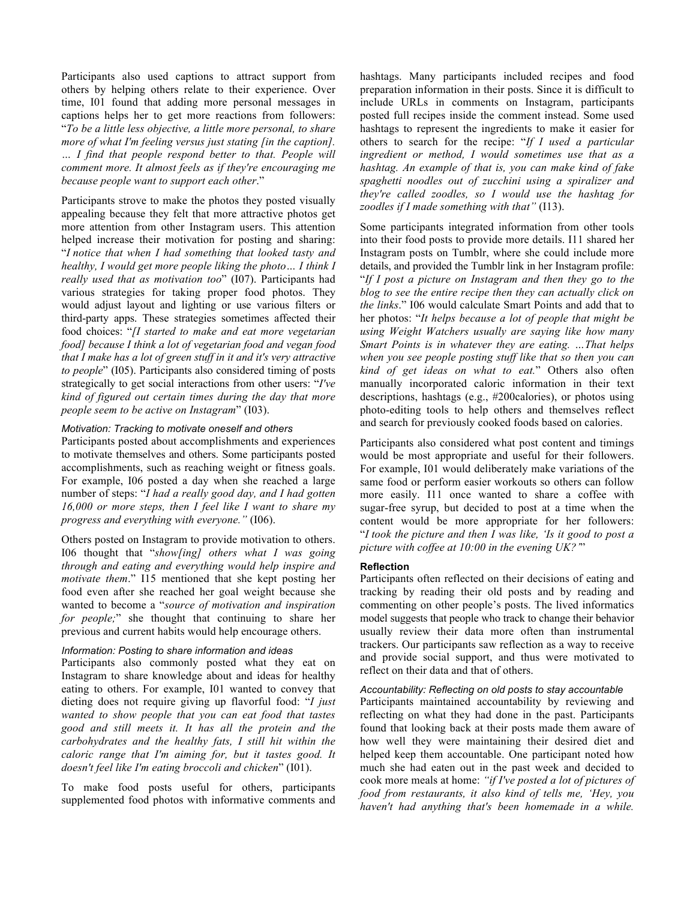Participants also used captions to attract support from others by helping others relate to their experience. Over time, I01 found that adding more personal messages in captions helps her to get more reactions from followers: "*To be a little less objective, a little more personal, to share more of what I'm feeling versus just stating [in the caption]. … I find that people respond better to that. People will comment more. It almost feels as if they're encouraging me because people want to support each other*."

Participants strove to make the photos they posted visually appealing because they felt that more attractive photos get more attention from other Instagram users. This attention helped increase their motivation for posting and sharing: "*I notice that when I had something that looked tasty and healthy, I would get more people liking the photo… I think I really used that as motivation too*" (I07). Participants had various strategies for taking proper food photos. They would adjust layout and lighting or use various filters or third-party apps. These strategies sometimes affected their food choices: "*[I started to make and eat more vegetarian food] because I think a lot of vegetarian food and vegan food that I make has a lot of green stuff in it and it's very attractive to people*" (I05). Participants also considered timing of posts strategically to get social interactions from other users: "*I've kind of figured out certain times during the day that more people seem to be active on Instagram*" (I03).

## *Motivation: Tracking to motivate oneself and others*

Participants posted about accomplishments and experiences to motivate themselves and others. Some participants posted accomplishments, such as reaching weight or fitness goals. For example, I06 posted a day when she reached a large number of steps: "*I had a really good day, and I had gotten 16,000 or more steps, then I feel like I want to share my progress and everything with everyone."* (I06).

Others posted on Instagram to provide motivation to others. I06 thought that "*show[ing] others what I was going through and eating and everything would help inspire and motivate them*." I15 mentioned that she kept posting her food even after she reached her goal weight because she wanted to become a "*source of motivation and inspiration for people;*" she thought that continuing to share her previous and current habits would help encourage others.

## *Information: Posting to share information and ideas*

Participants also commonly posted what they eat on Instagram to share knowledge about and ideas for healthy eating to others. For example, I01 wanted to convey that dieting does not require giving up flavorful food: "*I just wanted to show people that you can eat food that tastes good and still meets it. It has all the protein and the carbohydrates and the healthy fats, I still hit within the caloric range that I'm aiming for, but it tastes good. It doesn't feel like I'm eating broccoli and chicken*" (I01).

To make food posts useful for others, participants supplemented food photos with informative comments and hashtags. Many participants included recipes and food preparation information in their posts. Since it is difficult to include URLs in comments on Instagram, participants posted full recipes inside the comment instead. Some used hashtags to represent the ingredients to make it easier for others to search for the recipe: "*If I used a particular ingredient or method, I would sometimes use that as a hashtag. An example of that is, you can make kind of fake spaghetti noodles out of zucchini using a spiralizer and they're called zoodles, so I would use the hashtag for zoodles if I made something with that"* (I13).

Some participants integrated information from other tools into their food posts to provide more details. I11 shared her Instagram posts on Tumblr, where she could include more details, and provided the Tumblr link in her Instagram profile: "*If I post a picture on Instagram and then they go to the blog to see the entire recipe then they can actually click on the links*." I06 would calculate Smart Points and add that to her photos: "*It helps because a lot of people that might be using Weight Watchers usually are saying like how many Smart Points is in whatever they are eating. …That helps when you see people posting stuff like that so then you can kind of get ideas on what to eat.*" Others also often manually incorporated caloric information in their text descriptions, hashtags (e.g., #200calories), or photos using photo-editing tools to help others and themselves reflect and search for previously cooked foods based on calories.

Participants also considered what post content and timings would be most appropriate and useful for their followers. For example, I01 would deliberately make variations of the same food or perform easier workouts so others can follow more easily. I11 once wanted to share a coffee with sugar-free syrup, but decided to post at a time when the content would be more appropriate for her followers: "*I took the picture and then I was like, 'Is it good to post a picture with coffee at 10:00 in the evening UK?'*"

#### **Reflection**

Participants often reflected on their decisions of eating and tracking by reading their old posts and by reading and commenting on other people's posts. The lived informatics model suggests that people who track to change their behavior usually review their data more often than instrumental trackers. Our participants saw reflection as a way to receive and provide social support, and thus were motivated to reflect on their data and that of others.

#### *Accountability: Reflecting on old posts to stay accountable*

Participants maintained accountability by reviewing and reflecting on what they had done in the past. Participants found that looking back at their posts made them aware of how well they were maintaining their desired diet and helped keep them accountable. One participant noted how much she had eaten out in the past week and decided to cook more meals at home: *"if I've posted a lot of pictures of food from restaurants, it also kind of tells me, 'Hey, you haven't had anything that's been homemade in a while.*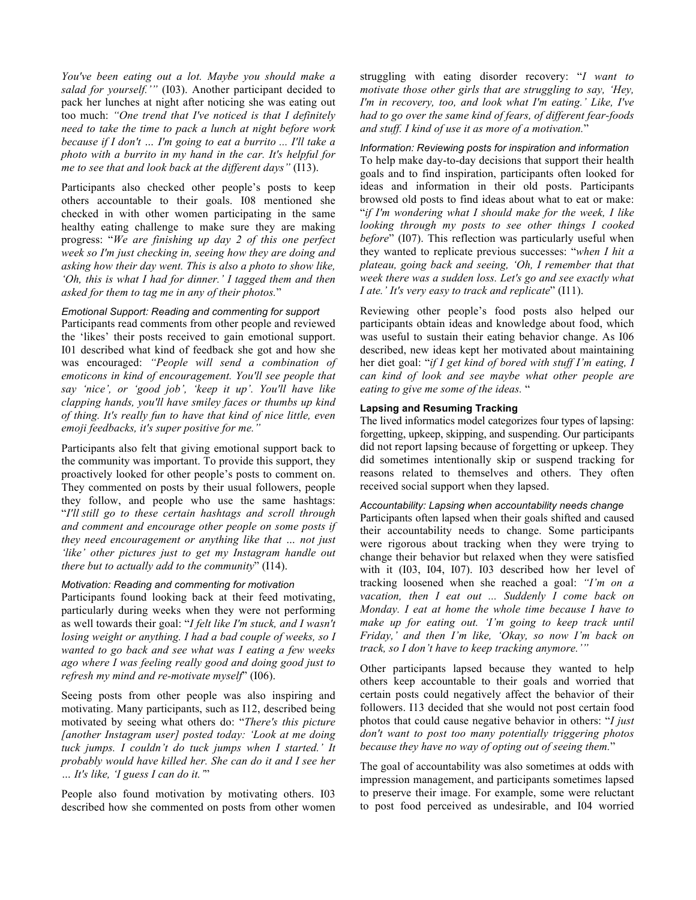*You've been eating out a lot. Maybe you should make a salad for yourself.'"* (I03). Another participant decided to pack her lunches at night after noticing she was eating out too much: *"One trend that I've noticed is that I definitely need to take the time to pack a lunch at night before work because if I don't … I'm going to eat a burrito ... I'll take a photo with a burrito in my hand in the car. It's helpful for me to see that and look back at the different days"* (I13).

Participants also checked other people's posts to keep others accountable to their goals. I08 mentioned she checked in with other women participating in the same healthy eating challenge to make sure they are making progress: "*We are finishing up day 2 of this one perfect week so I'm just checking in, seeing how they are doing and asking how their day went. This is also a photo to show like, 'Oh, this is what I had for dinner.' I tagged them and then asked for them to tag me in any of their photos.*"

# *Emotional Support: Reading and commenting for support*

Participants read comments from other people and reviewed the 'likes' their posts received to gain emotional support. I01 described what kind of feedback she got and how she was encouraged: *"People will send a combination of emoticons in kind of encouragement. You'll see people that say 'nice', or 'good job', 'keep it up'. You'll have like clapping hands, you'll have smiley faces or thumbs up kind of thing. It's really fun to have that kind of nice little, even emoji feedbacks, it's super positive for me."*

Participants also felt that giving emotional support back to the community was important. To provide this support, they proactively looked for other people's posts to comment on. They commented on posts by their usual followers, people they follow, and people who use the same hashtags: "*I'll still go to these certain hashtags and scroll through and comment and encourage other people on some posts if they need encouragement or anything like that … not just 'like' other pictures just to get my Instagram handle out there but to actually add to the community*" (I14).

## *Motivation: Reading and commenting for motivation*

Participants found looking back at their feed motivating, particularly during weeks when they were not performing as well towards their goal: "*I felt like I'm stuck, and I wasn't losing weight or anything. I had a bad couple of weeks, so I wanted to go back and see what was I eating a few weeks ago where I was feeling really good and doing good just to refresh my mind and re-motivate myself*" (I06).

Seeing posts from other people was also inspiring and motivating. Many participants, such as I12, described being motivated by seeing what others do: "*There's this picture [another Instagram user] posted today: 'Look at me doing tuck jumps. I couldn't do tuck jumps when I started.' It probably would have killed her. She can do it and I see her … It's like, 'I guess I can do it.'*"

People also found motivation by motivating others. I03 described how she commented on posts from other women struggling with eating disorder recovery: "*I want to motivate those other girls that are struggling to say, 'Hey, I'm in recovery, too, and look what I'm eating.' Like, I've had to go over the same kind of fears, of different fear-foods and stuff. I kind of use it as more of a motivation.*"

*Information: Reviewing posts for inspiration and information*  To help make day-to-day decisions that support their health goals and to find inspiration, participants often looked for ideas and information in their old posts. Participants browsed old posts to find ideas about what to eat or make: "*if I'm wondering what I should make for the week, I like looking through my posts to see other things I cooked before*" (I07). This reflection was particularly useful when they wanted to replicate previous successes: "*when I hit a plateau, going back and seeing, 'Oh, I remember that that week there was a sudden loss. Let's go and see exactly what I ate.' It's very easy to track and replicate*" (I11).

Reviewing other people's food posts also helped our participants obtain ideas and knowledge about food, which was useful to sustain their eating behavior change. As I06 described, new ideas kept her motivated about maintaining her diet goal: "*if I get kind of bored with stuff I'm eating, I can kind of look and see maybe what other people are eating to give me some of the ideas.* "

### **Lapsing and Resuming Tracking**

The lived informatics model categorizes four types of lapsing: forgetting, upkeep, skipping, and suspending. Our participants did not report lapsing because of forgetting or upkeep. They did sometimes intentionally skip or suspend tracking for reasons related to themselves and others. They often received social support when they lapsed.

# *Accountability: Lapsing when accountability needs change*

Participants often lapsed when their goals shifted and caused their accountability needs to change. Some participants were rigorous about tracking when they were trying to change their behavior but relaxed when they were satisfied with it (I03, I04, I07). I03 described how her level of tracking loosened when she reached a goal: *"I'm on a vacation, then I eat out ... Suddenly I come back on Monday. I eat at home the whole time because I have to make up for eating out. 'I'm going to keep track until Friday,' and then I'm like, 'Okay, so now I'm back on track, so I don't have to keep tracking anymore.'"*

Other participants lapsed because they wanted to help others keep accountable to their goals and worried that certain posts could negatively affect the behavior of their followers. I13 decided that she would not post certain food photos that could cause negative behavior in others: "*I just don't want to post too many potentially triggering photos because they have no way of opting out of seeing them.*"

The goal of accountability was also sometimes at odds with impression management, and participants sometimes lapsed to preserve their image. For example, some were reluctant to post food perceived as undesirable, and I04 worried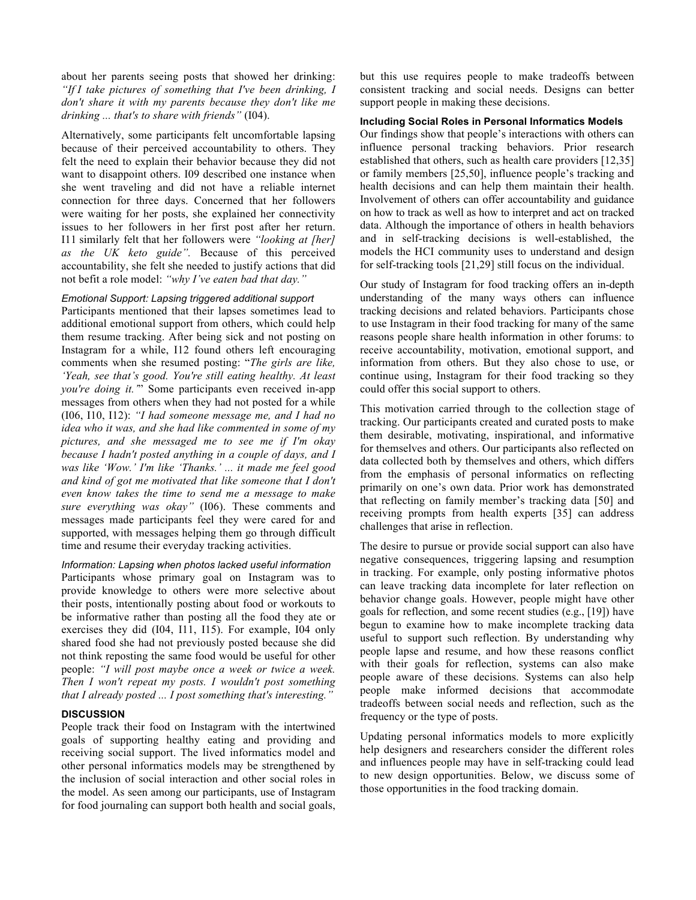about her parents seeing posts that showed her drinking: *"If I take pictures of something that I've been drinking, I don't share it with my parents because they don't like me drinking ... that's to share with friends"* (I04).

Alternatively, some participants felt uncomfortable lapsing because of their perceived accountability to others. They felt the need to explain their behavior because they did not want to disappoint others. I09 described one instance when she went traveling and did not have a reliable internet connection for three days. Concerned that her followers were waiting for her posts, she explained her connectivity issues to her followers in her first post after her return. I11 similarly felt that her followers were *"looking at [her] as the UK keto guide".* Because of this perceived accountability, she felt she needed to justify actions that did not befit a role model: *"why I've eaten bad that day."*

*Emotional Support: Lapsing triggered additional support* Participants mentioned that their lapses sometimes lead to additional emotional support from others, which could help them resume tracking. After being sick and not posting on Instagram for a while, I12 found others left encouraging comments when she resumed posting: "*The girls are like, 'Yeah, see that's good. You're still eating healthy. At least you're doing it.'*" Some participants even received in-app messages from others when they had not posted for a while (I06, I10, I12): *"I had someone message me, and I had no idea who it was, and she had like commented in some of my pictures, and she messaged me to see me if I'm okay because I hadn't posted anything in a couple of days, and I was like 'Wow.' I'm like 'Thanks.' ... it made me feel good and kind of got me motivated that like someone that I don't even know takes the time to send me a message to make sure everything was okay"* (I06). These comments and messages made participants feel they were cared for and supported, with messages helping them go through difficult time and resume their everyday tracking activities.

*Information: Lapsing when photos lacked useful information* Participants whose primary goal on Instagram was to provide knowledge to others were more selective about their posts, intentionally posting about food or workouts to be informative rather than posting all the food they ate or exercises they did (I04, I11, I15). For example, I04 only shared food she had not previously posted because she did not think reposting the same food would be useful for other people: *"I will post maybe once a week or twice a week. Then I won't repeat my posts. I wouldn't post something that I already posted ... I post something that's interesting."*

## **DISCUSSION**

People track their food on Instagram with the intertwined goals of supporting healthy eating and providing and receiving social support. The lived informatics model and other personal informatics models may be strengthened by the inclusion of social interaction and other social roles in the model. As seen among our participants, use of Instagram for food journaling can support both health and social goals, but this use requires people to make tradeoffs between consistent tracking and social needs. Designs can better support people in making these decisions.

#### **Including Social Roles in Personal Informatics Models**

Our findings show that people's interactions with others can influence personal tracking behaviors. Prior research established that others, such as health care providers [12,35] or family members [25,50], influence people's tracking and health decisions and can help them maintain their health. Involvement of others can offer accountability and guidance on how to track as well as how to interpret and act on tracked data. Although the importance of others in health behaviors and in self-tracking decisions is well-established, the models the HCI community uses to understand and design for self-tracking tools [21,29] still focus on the individual.

Our study of Instagram for food tracking offers an in-depth understanding of the many ways others can influence tracking decisions and related behaviors. Participants chose to use Instagram in their food tracking for many of the same reasons people share health information in other forums: to receive accountability, motivation, emotional support, and information from others. But they also chose to use, or continue using, Instagram for their food tracking so they could offer this social support to others.

This motivation carried through to the collection stage of tracking. Our participants created and curated posts to make them desirable, motivating, inspirational, and informative for themselves and others. Our participants also reflected on data collected both by themselves and others, which differs from the emphasis of personal informatics on reflecting primarily on one's own data. Prior work has demonstrated that reflecting on family member's tracking data [50] and receiving prompts from health experts [35] can address challenges that arise in reflection.

The desire to pursue or provide social support can also have negative consequences, triggering lapsing and resumption in tracking. For example, only posting informative photos can leave tracking data incomplete for later reflection on behavior change goals. However, people might have other goals for reflection, and some recent studies (e.g., [19]) have begun to examine how to make incomplete tracking data useful to support such reflection. By understanding why people lapse and resume, and how these reasons conflict with their goals for reflection, systems can also make people aware of these decisions. Systems can also help people make informed decisions that accommodate tradeoffs between social needs and reflection, such as the frequency or the type of posts.

Updating personal informatics models to more explicitly help designers and researchers consider the different roles and influences people may have in self-tracking could lead to new design opportunities. Below, we discuss some of those opportunities in the food tracking domain.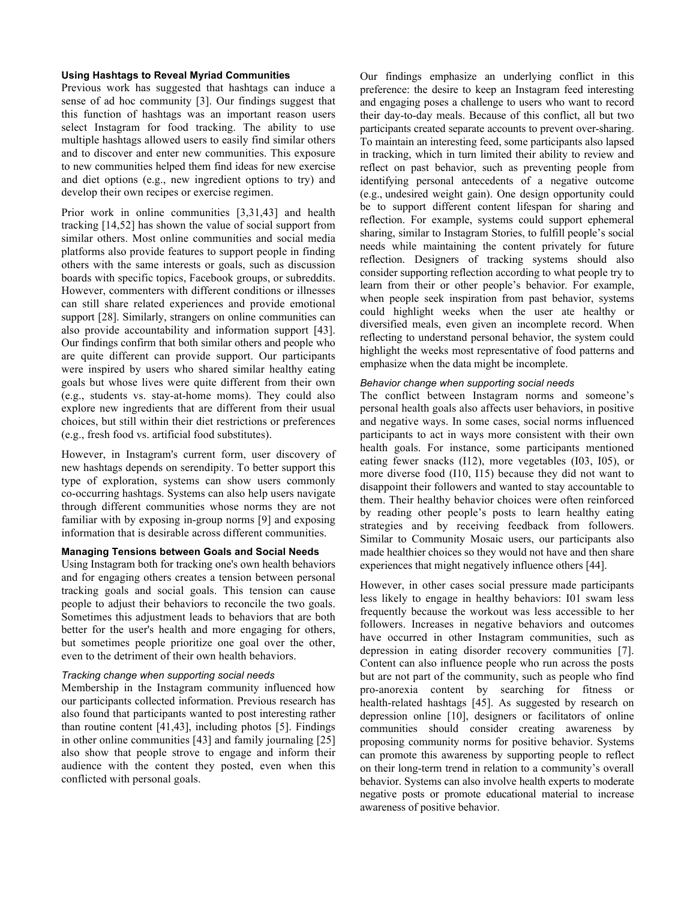## **Using Hashtags to Reveal Myriad Communities**

Previous work has suggested that hashtags can induce a sense of ad hoc community [3]. Our findings suggest that this function of hashtags was an important reason users select Instagram for food tracking. The ability to use multiple hashtags allowed users to easily find similar others and to discover and enter new communities. This exposure to new communities helped them find ideas for new exercise and diet options (e.g., new ingredient options to try) and develop their own recipes or exercise regimen.

Prior work in online communities [3,31,43] and health tracking [14,52] has shown the value of social support from similar others. Most online communities and social media platforms also provide features to support people in finding others with the same interests or goals, such as discussion boards with specific topics, Facebook groups, or subreddits. However, commenters with different conditions or illnesses can still share related experiences and provide emotional support [28]. Similarly, strangers on online communities can also provide accountability and information support [43]. Our findings confirm that both similar others and people who are quite different can provide support. Our participants were inspired by users who shared similar healthy eating goals but whose lives were quite different from their own (e.g., students vs. stay-at-home moms). They could also explore new ingredients that are different from their usual choices, but still within their diet restrictions or preferences (e.g., fresh food vs. artificial food substitutes).

However, in Instagram's current form, user discovery of new hashtags depends on serendipity. To better support this type of exploration, systems can show users commonly co-occurring hashtags. Systems can also help users navigate through different communities whose norms they are not familiar with by exposing in-group norms [9] and exposing information that is desirable across different communities.

#### **Managing Tensions between Goals and Social Needs**

Using Instagram both for tracking one's own health behaviors and for engaging others creates a tension between personal tracking goals and social goals. This tension can cause people to adjust their behaviors to reconcile the two goals. Sometimes this adjustment leads to behaviors that are both better for the user's health and more engaging for others, but sometimes people prioritize one goal over the other, even to the detriment of their own health behaviors.

#### *Tracking change when supporting social needs*

Membership in the Instagram community influenced how our participants collected information. Previous research has also found that participants wanted to post interesting rather than routine content [41,43], including photos [5]. Findings in other online communities [43] and family journaling [25] also show that people strove to engage and inform their audience with the content they posted, even when this conflicted with personal goals.

Our findings emphasize an underlying conflict in this preference: the desire to keep an Instagram feed interesting and engaging poses a challenge to users who want to record their day-to-day meals. Because of this conflict, all but two participants created separate accounts to prevent over-sharing. To maintain an interesting feed, some participants also lapsed in tracking, which in turn limited their ability to review and reflect on past behavior, such as preventing people from identifying personal antecedents of a negative outcome (e.g., undesired weight gain). One design opportunity could be to support different content lifespan for sharing and reflection. For example, systems could support ephemeral sharing, similar to Instagram Stories, to fulfill people's social needs while maintaining the content privately for future reflection. Designers of tracking systems should also consider supporting reflection according to what people try to learn from their or other people's behavior. For example, when people seek inspiration from past behavior, systems could highlight weeks when the user ate healthy or diversified meals, even given an incomplete record. When reflecting to understand personal behavior, the system could highlight the weeks most representative of food patterns and emphasize when the data might be incomplete.

## *Behavior change when supporting social needs*

The conflict between Instagram norms and someone's personal health goals also affects user behaviors, in positive and negative ways. In some cases, social norms influenced participants to act in ways more consistent with their own health goals. For instance, some participants mentioned eating fewer snacks (I12), more vegetables (I03, I05), or more diverse food (I10, I15) because they did not want to disappoint their followers and wanted to stay accountable to them. Their healthy behavior choices were often reinforced by reading other people's posts to learn healthy eating strategies and by receiving feedback from followers. Similar to Community Mosaic users, our participants also made healthier choices so they would not have and then share experiences that might negatively influence others [44].

However, in other cases social pressure made participants less likely to engage in healthy behaviors: I01 swam less frequently because the workout was less accessible to her followers. Increases in negative behaviors and outcomes have occurred in other Instagram communities, such as depression in eating disorder recovery communities [7]. Content can also influence people who run across the posts but are not part of the community, such as people who find pro-anorexia content by searching for fitness or health-related hashtags [45]. As suggested by research on depression online [10], designers or facilitators of online communities should consider creating awareness by proposing community norms for positive behavior. Systems can promote this awareness by supporting people to reflect on their long-term trend in relation to a community's overall behavior. Systems can also involve health experts to moderate negative posts or promote educational material to increase awareness of positive behavior.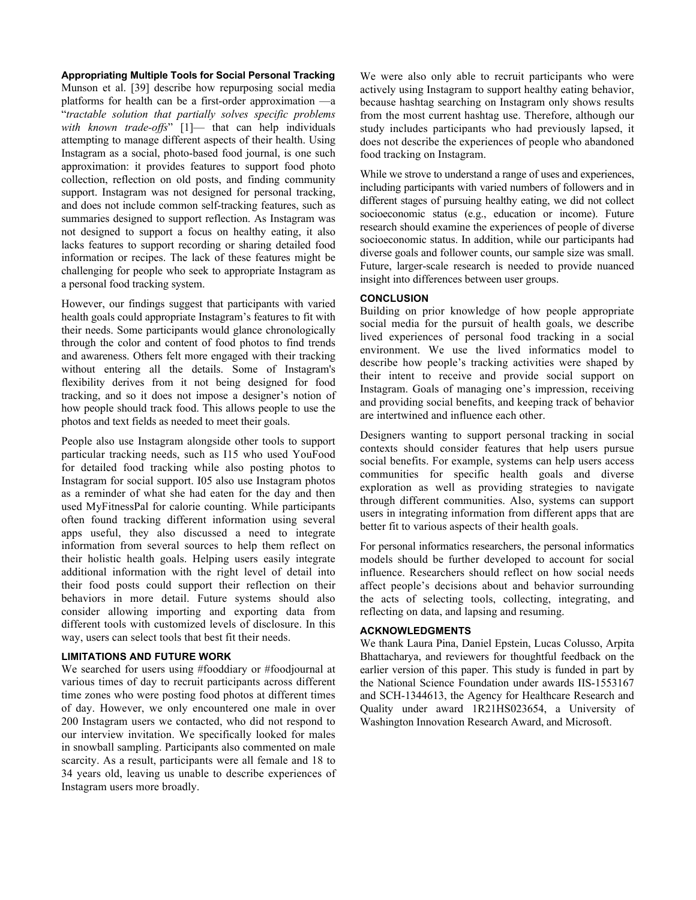## **Appropriating Multiple Tools for Social Personal Tracking**

Munson et al. [39] describe how repurposing social media platforms for health can be a first-order approximation —a "*tractable solution that partially solves specific problems with known trade-offs*" [1]— that can help individuals attempting to manage different aspects of their health. Using Instagram as a social, photo-based food journal, is one such approximation: it provides features to support food photo collection, reflection on old posts, and finding community support. Instagram was not designed for personal tracking, and does not include common self-tracking features, such as summaries designed to support reflection. As Instagram was not designed to support a focus on healthy eating, it also lacks features to support recording or sharing detailed food information or recipes. The lack of these features might be challenging for people who seek to appropriate Instagram as a personal food tracking system.

However, our findings suggest that participants with varied health goals could appropriate Instagram's features to fit with their needs. Some participants would glance chronologically through the color and content of food photos to find trends and awareness. Others felt more engaged with their tracking without entering all the details. Some of Instagram's flexibility derives from it not being designed for food tracking, and so it does not impose a designer's notion of how people should track food. This allows people to use the photos and text fields as needed to meet their goals.

People also use Instagram alongside other tools to support particular tracking needs, such as I15 who used YouFood for detailed food tracking while also posting photos to Instagram for social support. I05 also use Instagram photos as a reminder of what she had eaten for the day and then used MyFitnessPal for calorie counting. While participants often found tracking different information using several apps useful, they also discussed a need to integrate information from several sources to help them reflect on their holistic health goals. Helping users easily integrate additional information with the right level of detail into their food posts could support their reflection on their behaviors in more detail. Future systems should also consider allowing importing and exporting data from different tools with customized levels of disclosure. In this way, users can select tools that best fit their needs.

## **LIMITATIONS AND FUTURE WORK**

We searched for users using #fooddiary or #foodjournal at various times of day to recruit participants across different time zones who were posting food photos at different times of day. However, we only encountered one male in over 200 Instagram users we contacted, who did not respond to our interview invitation. We specifically looked for males in snowball sampling. Participants also commented on male scarcity. As a result, participants were all female and 18 to 34 years old, leaving us unable to describe experiences of Instagram users more broadly.

We were also only able to recruit participants who were actively using Instagram to support healthy eating behavior, because hashtag searching on Instagram only shows results from the most current hashtag use. Therefore, although our study includes participants who had previously lapsed, it does not describe the experiences of people who abandoned food tracking on Instagram.

While we strove to understand a range of uses and experiences, including participants with varied numbers of followers and in different stages of pursuing healthy eating, we did not collect socioeconomic status (e.g., education or income). Future research should examine the experiences of people of diverse socioeconomic status. In addition, while our participants had diverse goals and follower counts, our sample size was small. Future, larger-scale research is needed to provide nuanced insight into differences between user groups.

## **CONCLUSION**

Building on prior knowledge of how people appropriate social media for the pursuit of health goals, we describe lived experiences of personal food tracking in a social environment. We use the lived informatics model to describe how people's tracking activities were shaped by their intent to receive and provide social support on Instagram. Goals of managing one's impression, receiving and providing social benefits, and keeping track of behavior are intertwined and influence each other.

Designers wanting to support personal tracking in social contexts should consider features that help users pursue social benefits. For example, systems can help users access communities for specific health goals and diverse exploration as well as providing strategies to navigate through different communities. Also, systems can support users in integrating information from different apps that are better fit to various aspects of their health goals.

For personal informatics researchers, the personal informatics models should be further developed to account for social influence. Researchers should reflect on how social needs affect people's decisions about and behavior surrounding the acts of selecting tools, collecting, integrating, and reflecting on data, and lapsing and resuming.

## **ACKNOWLEDGMENTS**

We thank Laura Pina, Daniel Epstein, Lucas Colusso, Arpita Bhattacharya, and reviewers for thoughtful feedback on the earlier version of this paper. This study is funded in part by the National Science Foundation under awards IIS-1553167 and SCH-1344613, the Agency for Healthcare Research and Quality under award 1R21HS023654, a University of Washington Innovation Research Award, and Microsoft.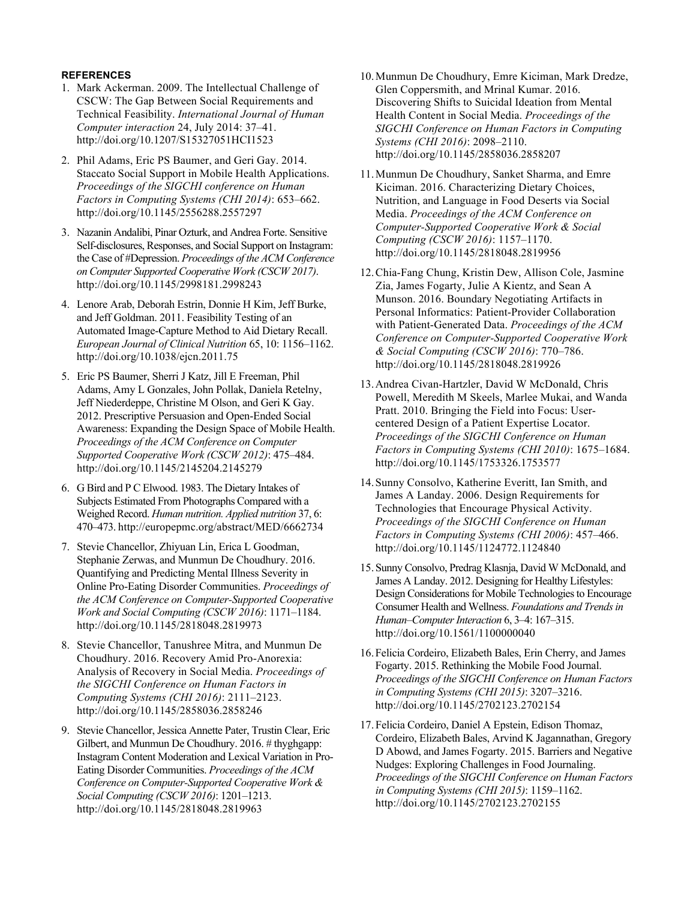# **REFERENCES**

- 1. Mark Ackerman. 2009. The Intellectual Challenge of CSCW: The Gap Between Social Requirements and Technical Feasibility. *International Journal of Human Computer interaction* 24, July 2014: 37–41. http://doi.org/10.1207/S15327051HCI1523
- 2. Phil Adams, Eric PS Baumer, and Geri Gay. 2014. Staccato Social Support in Mobile Health Applications. *Proceedings of the SIGCHI conference on Human Factors in Computing Systems (CHI 2014)*: 653–662. http://doi.org/10.1145/2556288.2557297
- 3. Nazanin Andalibi, Pinar Ozturk, and Andrea Forte. Sensitive Self-disclosures, Responses, and Social Support on Instagram: the Case of #Depression. *Proceedings of the ACM Conference on Computer Supported Cooperative Work (CSCW 2017)*. http://doi.org/10.1145/2998181.2998243
- 4. Lenore Arab, Deborah Estrin, Donnie H Kim, Jeff Burke, and Jeff Goldman. 2011. Feasibility Testing of an Automated Image-Capture Method to Aid Dietary Recall. *European Journal of Clinical Nutrition* 65, 10: 1156–1162. http://doi.org/10.1038/ejcn.2011.75
- 5. Eric PS Baumer, Sherri J Katz, Jill E Freeman, Phil Adams, Amy L Gonzales, John Pollak, Daniela Retelny, Jeff Niederdeppe, Christine M Olson, and Geri K Gay. 2012. Prescriptive Persuasion and Open-Ended Social Awareness: Expanding the Design Space of Mobile Health. *Proceedings of the ACM Conference on Computer Supported Cooperative Work (CSCW 2012)*: 475–484. http://doi.org/10.1145/2145204.2145279
- 6. G Bird and P C Elwood. 1983. The Dietary Intakes of Subjects Estimated From Photographs Compared with a Weighed Record. *Human nutrition. Applied nutrition* 37, 6: 470–473. http://europepmc.org/abstract/MED/6662734
- 7. Stevie Chancellor, Zhiyuan Lin, Erica L Goodman, Stephanie Zerwas, and Munmun De Choudhury. 2016. Quantifying and Predicting Mental Illness Severity in Online Pro-Eating Disorder Communities. *Proceedings of the ACM Conference on Computer-Supported Cooperative Work and Social Computing (CSCW 2016)*: 1171–1184. http://doi.org/10.1145/2818048.2819973
- 8. Stevie Chancellor, Tanushree Mitra, and Munmun De Choudhury. 2016. Recovery Amid Pro-Anorexia: Analysis of Recovery in Social Media. *Proceedings of the SIGCHI Conference on Human Factors in Computing Systems (CHI 2016)*: 2111–2123. http://doi.org/10.1145/2858036.2858246
- 9. Stevie Chancellor, Jessica Annette Pater, Trustin Clear, Eric Gilbert, and Munmun De Choudhury. 2016. # thyghgapp: Instagram Content Moderation and Lexical Variation in Pro-Eating Disorder Communities. *Proceedings of the ACM Conference on Computer-Supported Cooperative Work & Social Computing (CSCW 2016)*: 1201–1213. http://doi.org/10.1145/2818048.2819963
- 10.Munmun De Choudhury, Emre Kiciman, Mark Dredze, Glen Coppersmith, and Mrinal Kumar. 2016. Discovering Shifts to Suicidal Ideation from Mental Health Content in Social Media. *Proceedings of the SIGCHI Conference on Human Factors in Computing Systems (CHI 2016)*: 2098–2110. http://doi.org/10.1145/2858036.2858207
- 11.Munmun De Choudhury, Sanket Sharma, and Emre Kiciman. 2016. Characterizing Dietary Choices, Nutrition, and Language in Food Deserts via Social Media. *Proceedings of the ACM Conference on Computer-Supported Cooperative Work & Social Computing (CSCW 2016)*: 1157–1170. http://doi.org/10.1145/2818048.2819956
- 12.Chia-Fang Chung, Kristin Dew, Allison Cole, Jasmine Zia, James Fogarty, Julie A Kientz, and Sean A Munson. 2016. Boundary Negotiating Artifacts in Personal Informatics: Patient-Provider Collaboration with Patient-Generated Data. *Proceedings of the ACM Conference on Computer-Supported Cooperative Work & Social Computing (CSCW 2016)*: 770–786. http://doi.org/10.1145/2818048.2819926
- 13.Andrea Civan-Hartzler, David W McDonald, Chris Powell, Meredith M Skeels, Marlee Mukai, and Wanda Pratt. 2010. Bringing the Field into Focus: Usercentered Design of a Patient Expertise Locator. *Proceedings of the SIGCHI Conference on Human Factors in Computing Systems (CHI 2010)*: 1675–1684. http://doi.org/10.1145/1753326.1753577
- 14.Sunny Consolvo, Katherine Everitt, Ian Smith, and James A Landay. 2006. Design Requirements for Technologies that Encourage Physical Activity. *Proceedings of the SIGCHI Conference on Human Factors in Computing Systems (CHI 2006)*: 457–466. http://doi.org/10.1145/1124772.1124840
- 15.Sunny Consolvo, Predrag Klasnja, David W McDonald, and James A Landay. 2012. Designing for Healthy Lifestyles: Design Considerations for Mobile Technologies to Encourage Consumer Health and Wellness. *Foundations and Trends in Human–Computer Interaction* 6, 3–4: 167–315. http://doi.org/10.1561/1100000040
- 16.Felicia Cordeiro, Elizabeth Bales, Erin Cherry, and James Fogarty. 2015. Rethinking the Mobile Food Journal. *Proceedings of the SIGCHI Conference on Human Factors in Computing Systems (CHI 2015)*: 3207–3216. http://doi.org/10.1145/2702123.2702154
- 17.Felicia Cordeiro, Daniel A Epstein, Edison Thomaz, Cordeiro, Elizabeth Bales, Arvind K Jagannathan, Gregory D Abowd, and James Fogarty. 2015. Barriers and Negative Nudges: Exploring Challenges in Food Journaling. *Proceedings of the SIGCHI Conference on Human Factors in Computing Systems (CHI 2015)*: 1159–1162. http://doi.org/10.1145/2702123.2702155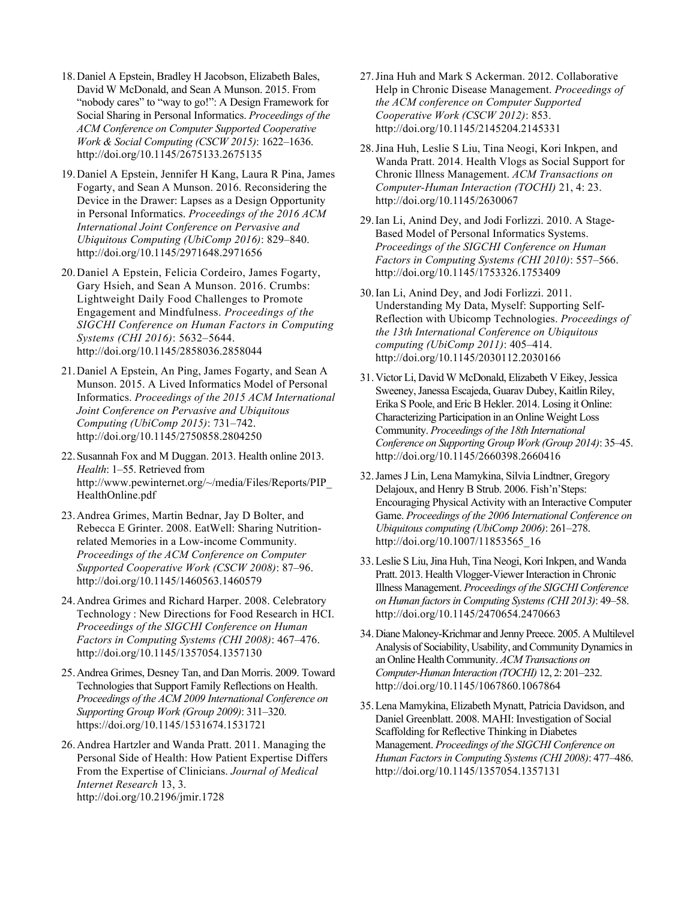- 18.Daniel A Epstein, Bradley H Jacobson, Elizabeth Bales, David W McDonald, and Sean A Munson. 2015. From "nobody cares" to "way to go!": A Design Framework for Social Sharing in Personal Informatics. *Proceedings of the ACM Conference on Computer Supported Cooperative Work & Social Computing (CSCW 2015)*: 1622–1636. http://doi.org/10.1145/2675133.2675135
- 19.Daniel A Epstein, Jennifer H Kang, Laura R Pina, James Fogarty, and Sean A Munson. 2016. Reconsidering the Device in the Drawer: Lapses as a Design Opportunity in Personal Informatics. *Proceedings of the 2016 ACM International Joint Conference on Pervasive and Ubiquitous Computing (UbiComp 2016)*: 829–840. http://doi.org/10.1145/2971648.2971656
- 20.Daniel A Epstein, Felicia Cordeiro, James Fogarty, Gary Hsieh, and Sean A Munson. 2016. Crumbs: Lightweight Daily Food Challenges to Promote Engagement and Mindfulness. *Proceedings of the SIGCHI Conference on Human Factors in Computing Systems (CHI 2016)*: 5632–5644. http://doi.org/10.1145/2858036.2858044
- 21.Daniel A Epstein, An Ping, James Fogarty, and Sean A Munson. 2015. A Lived Informatics Model of Personal Informatics. *Proceedings of the 2015 ACM International Joint Conference on Pervasive and Ubiquitous Computing (UbiComp 2015)*: 731–742. http://doi.org/10.1145/2750858.2804250
- 22.Susannah Fox and M Duggan. 2013. Health online 2013. *Health*: 1–55. Retrieved from http://www.pewinternet.org/~/media/Files/Reports/PIP\_ HealthOnline.pdf
- 23.Andrea Grimes, Martin Bednar, Jay D Bolter, and Rebecca E Grinter. 2008. EatWell: Sharing Nutritionrelated Memories in a Low-income Community. *Proceedings of the ACM Conference on Computer Supported Cooperative Work (CSCW 2008)*: 87–96. http://doi.org/10.1145/1460563.1460579
- 24.Andrea Grimes and Richard Harper. 2008. Celebratory Technology : New Directions for Food Research in HCI. *Proceedings of the SIGCHI Conference on Human Factors in Computing Systems (CHI 2008)*: 467–476. http://doi.org/10.1145/1357054.1357130
- 25.Andrea Grimes, Desney Tan, and Dan Morris. 2009. Toward Technologies that Support Family Reflections on Health. *Proceedings of the ACM 2009 International Conference on Supporting Group Work (Group 2009)*: 311–320. https://doi.org/10.1145/1531674.1531721
- 26.Andrea Hartzler and Wanda Pratt. 2011. Managing the Personal Side of Health: How Patient Expertise Differs From the Expertise of Clinicians. *Journal of Medical Internet Research* 13, 3. http://doi.org/10.2196/jmir.1728
- 27.Jina Huh and Mark S Ackerman. 2012. Collaborative Help in Chronic Disease Management. *Proceedings of the ACM conference on Computer Supported Cooperative Work (CSCW 2012)*: 853. http://doi.org/10.1145/2145204.2145331
- 28.Jina Huh, Leslie S Liu, Tina Neogi, Kori Inkpen, and Wanda Pratt. 2014. Health Vlogs as Social Support for Chronic Illness Management. *ACM Transactions on Computer-Human Interaction (TOCHI)* 21, 4: 23. http://doi.org/10.1145/2630067
- 29.Ian Li, Anind Dey, and Jodi Forlizzi. 2010. A Stage-Based Model of Personal Informatics Systems. *Proceedings of the SIGCHI Conference on Human Factors in Computing Systems (CHI 2010)*: 557–566. http://doi.org/10.1145/1753326.1753409
- 30.Ian Li, Anind Dey, and Jodi Forlizzi. 2011. Understanding My Data, Myself: Supporting Self-Reflection with Ubicomp Technologies. *Proceedings of the 13th International Conference on Ubiquitous computing (UbiComp 2011)*: 405–414. http://doi.org/10.1145/2030112.2030166
- 31.Victor Li, David W McDonald, Elizabeth V Eikey, Jessica Sweeney, Janessa Escajeda, Guarav Dubey, Kaitlin Riley, Erika S Poole, and Eric B Hekler. 2014. Losing it Online: Characterizing Participation in an Online Weight Loss Community. *Proceedings of the 18th International Conference on Supporting Group Work (Group 2014)*: 35–45. http://doi.org/10.1145/2660398.2660416
- 32.James J Lin, Lena Mamykina, Silvia Lindtner, Gregory Delajoux, and Henry B Strub. 2006. Fish'n'Steps: Encouraging Physical Activity with an Interactive Computer Game. *Proceedings of the 2006 International Conference on Ubiquitous computing (UbiComp 2006)*: 261–278. http://doi.org/10.1007/11853565\_16
- 33.Leslie S Liu, Jina Huh, Tina Neogi, Kori Inkpen, and Wanda Pratt. 2013. Health Vlogger-Viewer Interaction in Chronic Illness Management. *Proceedings of the SIGCHI Conference on Human factors in Computing Systems (CHI 2013)*: 49–58. http://doi.org/10.1145/2470654.2470663
- 34.Diane Maloney-Krichmar and Jenny Preece. 2005. A Multilevel Analysis of Sociability, Usability, and Community Dynamics in an Online Health Community. *ACM Transactions on Computer-Human Interaction (TOCHI)* 12, 2: 201–232. http://doi.org/10.1145/1067860.1067864
- 35.Lena Mamykina, Elizabeth Mynatt, Patricia Davidson, and Daniel Greenblatt. 2008. MAHI: Investigation of Social Scaffolding for Reflective Thinking in Diabetes Management. *Proceedings of the SIGCHI Conference on Human Factors in Computing Systems (CHI 2008)*: 477–486. http://doi.org/10.1145/1357054.1357131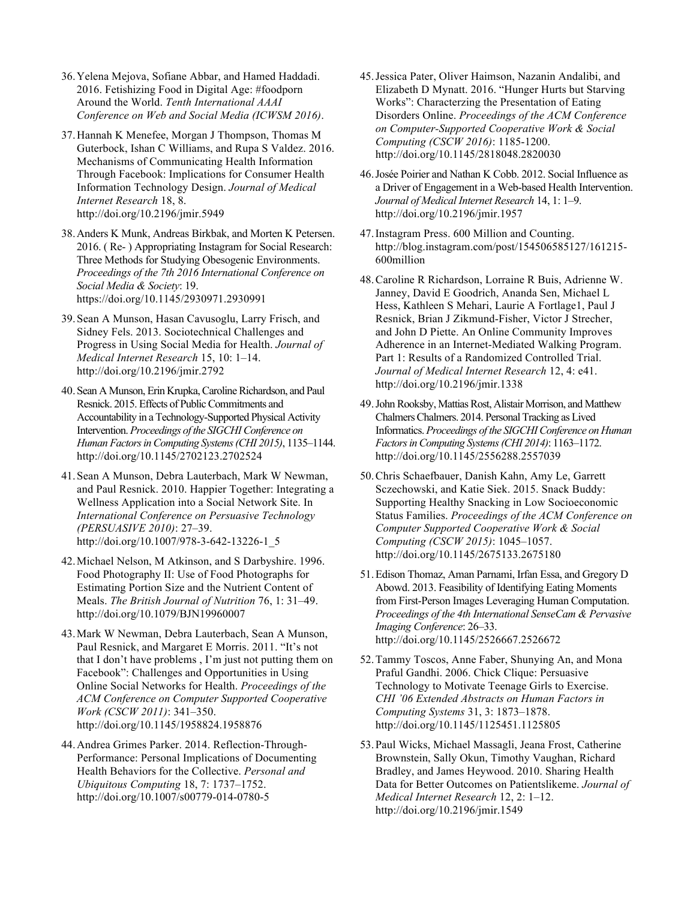- 36.Yelena Mejova, Sofiane Abbar, and Hamed Haddadi. 2016. Fetishizing Food in Digital Age: #foodporn Around the World. *Tenth International AAAI Conference on Web and Social Media (ICWSM 2016)*.
- 37.Hannah K Menefee, Morgan J Thompson, Thomas M Guterbock, Ishan C Williams, and Rupa S Valdez. 2016. Mechanisms of Communicating Health Information Through Facebook: Implications for Consumer Health Information Technology Design. *Journal of Medical Internet Research* 18, 8. http://doi.org/10.2196/jmir.5949
- 38.Anders K Munk, Andreas Birkbak, and Morten K Petersen. 2016. ( Re- ) Appropriating Instagram for Social Research: Three Methods for Studying Obesogenic Environments. *Proceedings of the 7th 2016 International Conference on Social Media & Society*: 19. https://doi.org/10.1145/2930971.2930991
- 39.Sean A Munson, Hasan Cavusoglu, Larry Frisch, and Sidney Fels. 2013. Sociotechnical Challenges and Progress in Using Social Media for Health. *Journal of Medical Internet Research* 15, 10: 1–14. http://doi.org/10.2196/jmir.2792
- 40.Sean A Munson, Erin Krupka, Caroline Richardson, and Paul Resnick. 2015. Effects of Public Commitments and Accountability in a Technology-Supported Physical Activity Intervention. *Proceedings of the SIGCHI Conference on Human Factors in Computing Systems (CHI 2015)*, 1135–1144. http://doi.org/10.1145/2702123.2702524
- 41.Sean A Munson, Debra Lauterbach, Mark W Newman, and Paul Resnick. 2010. Happier Together: Integrating a Wellness Application into a Social Network Site. In *International Conference on Persuasive Technology (PERSUASIVE 2010)*: 27–39. http://doi.org/10.1007/978-3-642-13226-1\_5
- 42.Michael Nelson, M Atkinson, and S Darbyshire. 1996. Food Photography II: Use of Food Photographs for Estimating Portion Size and the Nutrient Content of Meals. *The British Journal of Nutrition* 76, 1: 31–49. http://doi.org/10.1079/BJN19960007
- 43.Mark W Newman, Debra Lauterbach, Sean A Munson, Paul Resnick, and Margaret E Morris. 2011. "It's not that I don't have problems , I'm just not putting them on Facebook": Challenges and Opportunities in Using Online Social Networks for Health. *Proceedings of the ACM Conference on Computer Supported Cooperative Work (CSCW 2011)*: 341–350. http://doi.org/10.1145/1958824.1958876
- 44.Andrea Grimes Parker. 2014. Reflection-Through-Performance: Personal Implications of Documenting Health Behaviors for the Collective. *Personal and Ubiquitous Computing* 18, 7: 1737–1752. http://doi.org/10.1007/s00779-014-0780-5
- 45.Jessica Pater, Oliver Haimson, Nazanin Andalibi, and Elizabeth D Mynatt. 2016. "Hunger Hurts but Starving Works": Characterzing the Presentation of Eating Disorders Online. *Proceedings of the ACM Conference on Computer-Supported Cooperative Work & Social Computing (CSCW 2016)*: 1185-1200. http://doi.org/10.1145/2818048.2820030
- 46.Josée Poirier and Nathan K Cobb. 2012. Social Influence as a Driver of Engagement in a Web-based Health Intervention. *Journal of Medical Internet Research* 14, 1: 1–9. http://doi.org/10.2196/jmir.1957
- 47.Instagram Press. 600 Million and Counting. http://blog.instagram.com/post/154506585127/161215- 600million
- 48.Caroline R Richardson, Lorraine R Buis, Adrienne W. Janney, David E Goodrich, Ananda Sen, Michael L Hess, Kathleen S Mehari, Laurie A Fortlage1, Paul J Resnick, Brian J Zikmund-Fisher, Victor J Strecher, and John D Piette. An Online Community Improves Adherence in an Internet-Mediated Walking Program. Part 1: Results of a Randomized Controlled Trial. *Journal of Medical Internet Research* 12, 4: e41. http://doi.org/10.2196/jmir.1338
- 49.John Rooksby, Mattias Rost, Alistair Morrison, and Matthew Chalmers Chalmers. 2014. Personal Tracking as Lived Informatics. *Proceedings of the SIGCHI Conference on Human Factors in Computing Systems (CHI 2014)*: 1163–1172. http://doi.org/10.1145/2556288.2557039
- 50.Chris Schaefbauer, Danish Kahn, Amy Le, Garrett Sczechowski, and Katie Siek. 2015. Snack Buddy: Supporting Healthy Snacking in Low Socioeconomic Status Families. *Proceedings of the ACM Conference on Computer Supported Cooperative Work & Social Computing (CSCW 2015)*: 1045–1057. http://doi.org/10.1145/2675133.2675180
- 51.Edison Thomaz, Aman Parnami, Irfan Essa, and Gregory D Abowd. 2013. Feasibility of Identifying Eating Moments from First-Person Images Leveraging Human Computation. *Proceedings of the 4th International SenseCam & Pervasive Imaging Conference*: 26–33. http://doi.org/10.1145/2526667.2526672
- 52.Tammy Toscos, Anne Faber, Shunying An, and Mona Praful Gandhi. 2006. Chick Clique: Persuasive Technology to Motivate Teenage Girls to Exercise. *CHI '06 Extended Abstracts on Human Factors in Computing Systems* 31, 3: 1873–1878. http://doi.org/10.1145/1125451.1125805
- 53.Paul Wicks, Michael Massagli, Jeana Frost, Catherine Brownstein, Sally Okun, Timothy Vaughan, Richard Bradley, and James Heywood. 2010. Sharing Health Data for Better Outcomes on Patientslikeme. *Journal of Medical Internet Research* 12, 2: 1–12. http://doi.org/10.2196/jmir.1549